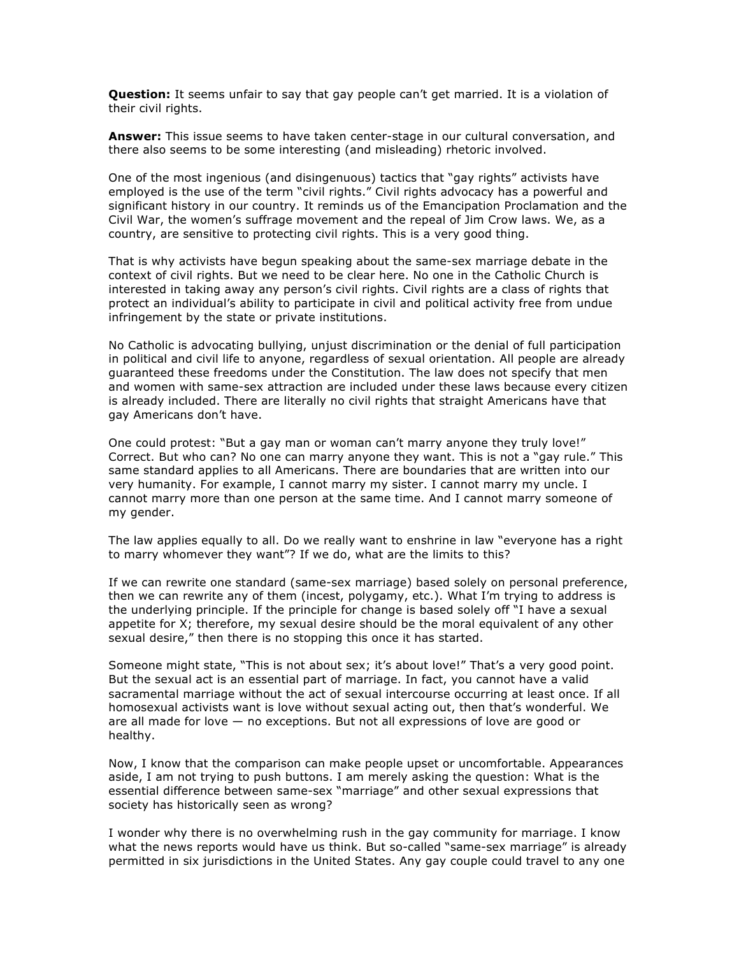**Question:** It seems unfair to say that gay people can't get married. It is a violation of their civil rights.

**Answer:** This issue seems to have taken center-stage in our cultural conversation, and there also seems to be some interesting (and misleading) rhetoric involved.

One of the most ingenious (and disingenuous) tactics that "gay rights" activists have employed is the use of the term "civil rights." Civil rights advocacy has a powerful and significant history in our country. It reminds us of the Emancipation Proclamation and the Civil War, the women's suffrage movement and the repeal of Jim Crow laws. We, as a country, are sensitive to protecting civil rights. This is a very good thing.

That is why activists have begun speaking about the same-sex marriage debate in the context of civil rights. But we need to be clear here. No one in the Catholic Church is interested in taking away any person's civil rights. Civil rights are a class of rights that protect an individual's ability to participate in civil and political activity free from undue infringement by the state or private institutions.

No Catholic is advocating bullying, unjust discrimination or the denial of full participation in political and civil life to anyone, regardless of sexual orientation. All people are already guaranteed these freedoms under the Constitution. The law does not specify that men and women with same-sex attraction are included under these laws because every citizen is already included. There are literally no civil rights that straight Americans have that gay Americans don't have.

One could protest: "But a gay man or woman can't marry anyone they truly love!" Correct. But who can? No one can marry anyone they want. This is not a "gay rule." This same standard applies to all Americans. There are boundaries that are written into our very humanity. For example, I cannot marry my sister. I cannot marry my uncle. I cannot marry more than one person at the same time. And I cannot marry someone of my gender.

The law applies equally to all. Do we really want to enshrine in law "everyone has a right to marry whomever they want"? If we do, what are the limits to this?

If we can rewrite one standard (same-sex marriage) based solely on personal preference, then we can rewrite any of them (incest, polygamy, etc.). What I'm trying to address is the underlying principle. If the principle for change is based solely off "I have a sexual appetite for X; therefore, my sexual desire should be the moral equivalent of any other sexual desire," then there is no stopping this once it has started.

Someone might state, "This is not about sex; it's about love!" That's a very good point. But the sexual act is an essential part of marriage. In fact, you cannot have a valid sacramental marriage without the act of sexual intercourse occurring at least once. If all homosexual activists want is love without sexual acting out, then that's wonderful. We are all made for love — no exceptions. But not all expressions of love are good or healthy.

Now, I know that the comparison can make people upset or uncomfortable. Appearances aside, I am not trying to push buttons. I am merely asking the question: What is the essential difference between same-sex "marriage" and other sexual expressions that society has historically seen as wrong?

I wonder why there is no overwhelming rush in the gay community for marriage. I know what the news reports would have us think. But so-called "same-sex marriage" is already permitted in six jurisdictions in the United States. Any gay couple could travel to any one